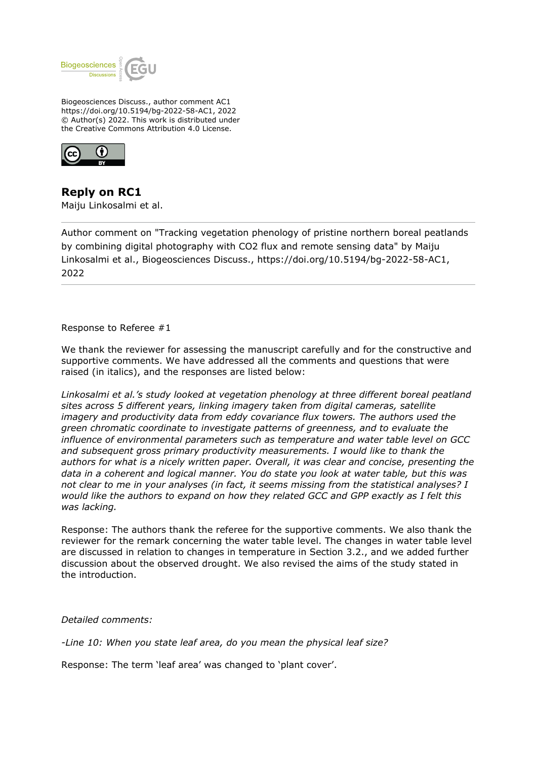

Biogeosciences Discuss., author comment AC1 https://doi.org/10.5194/bg-2022-58-AC1, 2022 © Author(s) 2022. This work is distributed under the Creative Commons Attribution 4.0 License.



**Reply on RC1** Maiju Linkosalmi et al.

Author comment on "Tracking vegetation phenology of pristine northern boreal peatlands by combining digital photography with CO2 flux and remote sensing data" by Maiju Linkosalmi et al., Biogeosciences Discuss., https://doi.org/10.5194/bg-2022-58-AC1, 2022

Response to Referee #1

We thank the reviewer for assessing the manuscript carefully and for the constructive and supportive comments. We have addressed all the comments and questions that were raised (in italics), and the responses are listed below:

*Linkosalmi et al.'s study looked at vegetation phenology at three different boreal peatland sites across 5 different years, linking imagery taken from digital cameras, satellite imagery and productivity data from eddy covariance flux towers. The authors used the green chromatic coordinate to investigate patterns of greenness, and to evaluate the influence of environmental parameters such as temperature and water table level on GCC and subsequent gross primary productivity measurements. I would like to thank the authors for what is a nicely written paper. Overall, it was clear and concise, presenting the data in a coherent and logical manner. You do state you look at water table, but this was not clear to me in your analyses (in fact, it seems missing from the statistical analyses? I would like the authors to expand on how they related GCC and GPP exactly as I felt this was lacking.*

Response: The authors thank the referee for the supportive comments. We also thank the reviewer for the remark concerning the water table level. The changes in water table level are discussed in relation to changes in temperature in Section 3.2., and we added further discussion about the observed drought. We also revised the aims of the study stated in the introduction.

*Detailed comments:*

*-Line 10: When you state leaf area, do you mean the physical leaf size?*

Response: The term 'leaf area' was changed to 'plant cover'.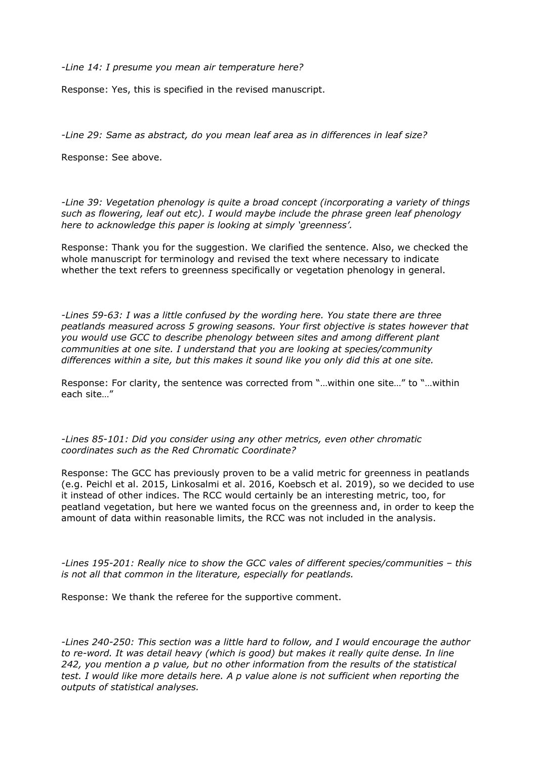*-Line 14: I presume you mean air temperature here?*

Response: Yes, this is specified in the revised manuscript.

*-Line 29: Same as abstract, do you mean leaf area as in differences in leaf size?*

Response: See above.

*-Line 39: Vegetation phenology is quite a broad concept (incorporating a variety of things such as flowering, leaf out etc). I would maybe include the phrase green leaf phenology here to acknowledge this paper is looking at simply 'greenness'.*

Response: Thank you for the suggestion. We clarified the sentence. Also, we checked the whole manuscript for terminology and revised the text where necessary to indicate whether the text refers to greenness specifically or vegetation phenology in general.

*-Lines 59-63: I was a little confused by the wording here. You state there are three peatlands measured across 5 growing seasons. Your first objective is states however that you would use GCC to describe phenology between sites and among different plant communities at one site. I understand that you are looking at species/community differences within a site, but this makes it sound like you only did this at one site.*

Response: For clarity, the sentence was corrected from "…within one site…" to "…within each site…"

*-Lines 85-101: Did you consider using any other metrics, even other chromatic coordinates such as the Red Chromatic Coordinate?*

Response: The GCC has previously proven to be a valid metric for greenness in peatlands (e.g. Peichl et al. 2015, Linkosalmi et al. 2016, Koebsch et al. 2019), so we decided to use it instead of other indices. The RCC would certainly be an interesting metric, too, for peatland vegetation, but here we wanted focus on the greenness and, in order to keep the amount of data within reasonable limits, the RCC was not included in the analysis.

*-Lines 195-201: Really nice to show the GCC vales of different species/communities – this is not all that common in the literature, especially for peatlands.*

Response: We thank the referee for the supportive comment.

*-Lines 240-250: This section was a little hard to follow, and I would encourage the author to re-word. It was detail heavy (which is good) but makes it really quite dense. In line 242, you mention a p value, but no other information from the results of the statistical test. I would like more details here. A p value alone is not sufficient when reporting the outputs of statistical analyses.*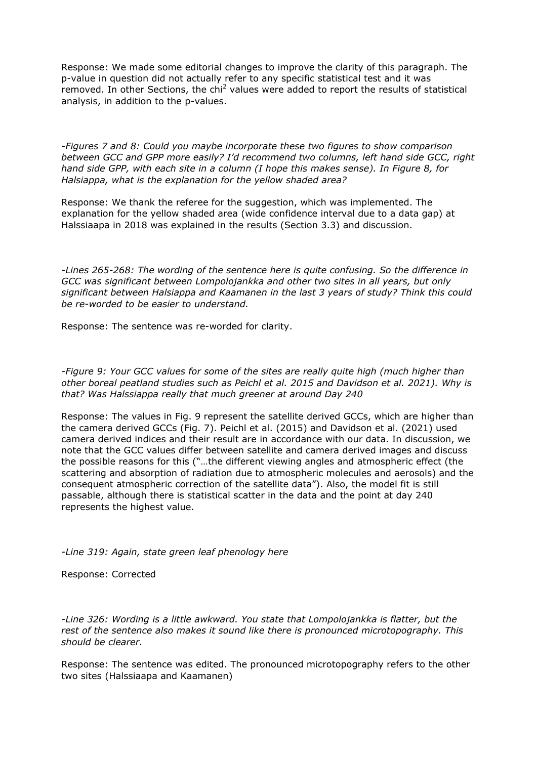Response: We made some editorial changes to improve the clarity of this paragraph. The p-value in question did not actually refer to any specific statistical test and it was removed. In other Sections, the chi<sup>2</sup> values were added to report the results of statistical analysis, in addition to the p-values.

*-Figures 7 and 8: Could you maybe incorporate these two figures to show comparison between GCC and GPP more easily? I'd recommend two columns, left hand side GCC, right hand side GPP, with each site in a column (I hope this makes sense). In Figure 8, for Halsiappa, what is the explanation for the yellow shaded area?*

Response: We thank the referee for the suggestion, which was implemented. The explanation for the yellow shaded area (wide confidence interval due to a data gap) at Halssiaapa in 2018 was explained in the results (Section 3.3) and discussion.

*-Lines 265-268: The wording of the sentence here is quite confusing. So the difference in GCC was significant between Lompolojankka and other two sites in all years, but only significant between Halsiappa and Kaamanen in the last 3 years of study? Think this could be re-worded to be easier to understand.*

Response: The sentence was re-worded for clarity.

*-Figure 9: Your GCC values for some of the sites are really quite high (much higher than other boreal peatland studies such as Peichl et al. 2015 and Davidson et al. 2021). Why is that? Was Halssiappa really that much greener at around Day 240*

Response: The values in Fig. 9 represent the satellite derived GCCs, which are higher than the camera derived GCCs (Fig. 7). Peichl et al. (2015) and Davidson et al. (2021) used camera derived indices and their result are in accordance with our data. In discussion, we note that the GCC values differ between satellite and camera derived images and discuss the possible reasons for this ("…the different viewing angles and atmospheric effect (the scattering and absorption of radiation due to atmospheric molecules and aerosols) and the consequent atmospheric correction of the satellite data"). Also, the model fit is still passable, although there is statistical scatter in the data and the point at day 240 represents the highest value.

*-Line 319: Again, state green leaf phenology here*

Response: Corrected

*-Line 326: Wording is a little awkward. You state that Lompolojankka is flatter, but the rest of the sentence also makes it sound like there is pronounced microtopography. This should be clearer.*

Response: The sentence was edited. The pronounced microtopography refers to the other two sites (Halssiaapa and Kaamanen)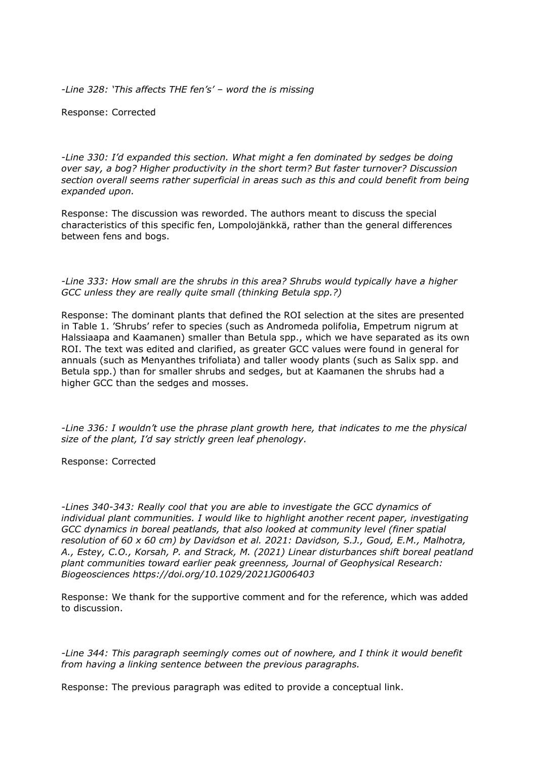*-Line 328: 'This affects THE fen's' – word the is missing*

Response: Corrected

*-Line 330: I'd expanded this section. What might a fen dominated by sedges be doing over say, a bog? Higher productivity in the short term? But faster turnover? Discussion section overall seems rather superficial in areas such as this and could benefit from being expanded upon.*

Response: The discussion was reworded. The authors meant to discuss the special characteristics of this specific fen, Lompolojänkkä, rather than the general differences between fens and bogs.

*-Line 333: How small are the shrubs in this area? Shrubs would typically have a higher GCC unless they are really quite small (thinking Betula spp.?)*

Response: The dominant plants that defined the ROI selection at the sites are presented in Table 1. 'Shrubs' refer to species (such as Andromeda polifolia, Empetrum nigrum at Halssiaapa and Kaamanen) smaller than Betula spp., which we have separated as its own ROI. The text was edited and clarified, as greater GCC values were found in general for annuals (such as Menyanthes trifoliata) and taller woody plants (such as Salix spp. and Betula spp.) than for smaller shrubs and sedges, but at Kaamanen the shrubs had a higher GCC than the sedges and mosses.

*-Line 336: I wouldn't use the phrase plant growth here, that indicates to me the physical size of the plant, I'd say strictly green leaf phenology.*

Response: Corrected

*-Lines 340-343: Really cool that you are able to investigate the GCC dynamics of individual plant communities. I would like to highlight another recent paper, investigating GCC dynamics in boreal peatlands, that also looked at community level (finer spatial resolution of 60 x 60 cm) by Davidson et al. 2021: Davidson, S.J., Goud, E.M., Malhotra, A., Estey, C.O., Korsah, P. and Strack, M. (2021) Linear disturbances shift boreal peatland plant communities toward earlier peak greenness, Journal of Geophysical Research: Biogeosciences https://doi.org/10.1029/2021JG006403*

Response: We thank for the supportive comment and for the reference, which was added to discussion.

*-Line 344: This paragraph seemingly comes out of nowhere, and I think it would benefit from having a linking sentence between the previous paragraphs.*

Response: The previous paragraph was edited to provide a conceptual link.